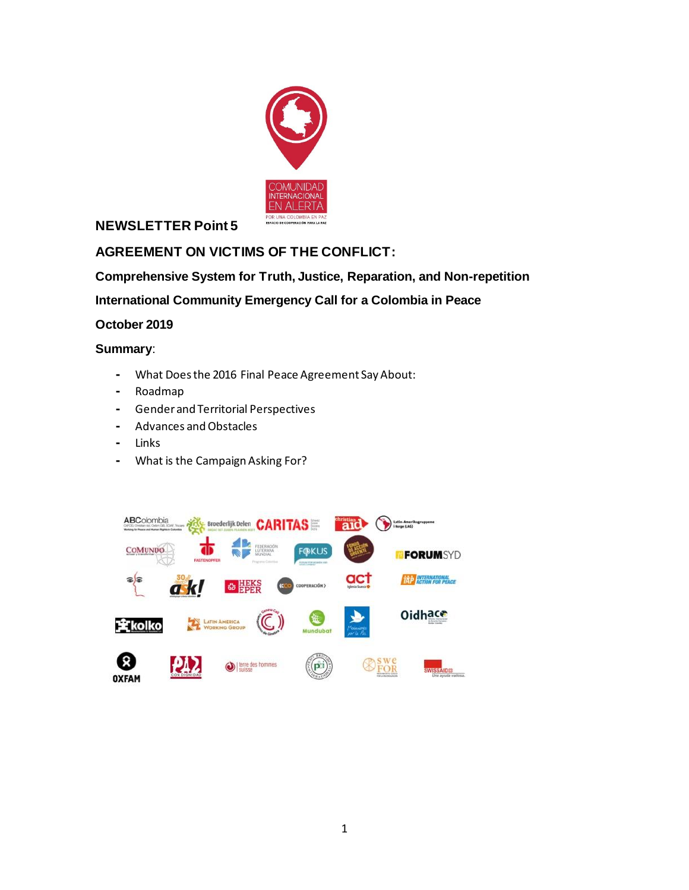

### **NEWSLETTER Point 5**

## **AGREEMENT ON VICTIMS OF THE CONFLICT:**

**Comprehensive System for Truth, Justice, Reparation, and Non-repetition**

**International Community Emergency Call for a Colombia in Peace**

**October 2019**

### **Summary**:

- **-** What Does the 2016 Final Peace Agreement Say About:
- **-** Roadmap
- **-** Gender and Territorial Perspectives
- **-** Advances and Obstacles
- **-** Links
- **-** What is the Campaign Asking For?

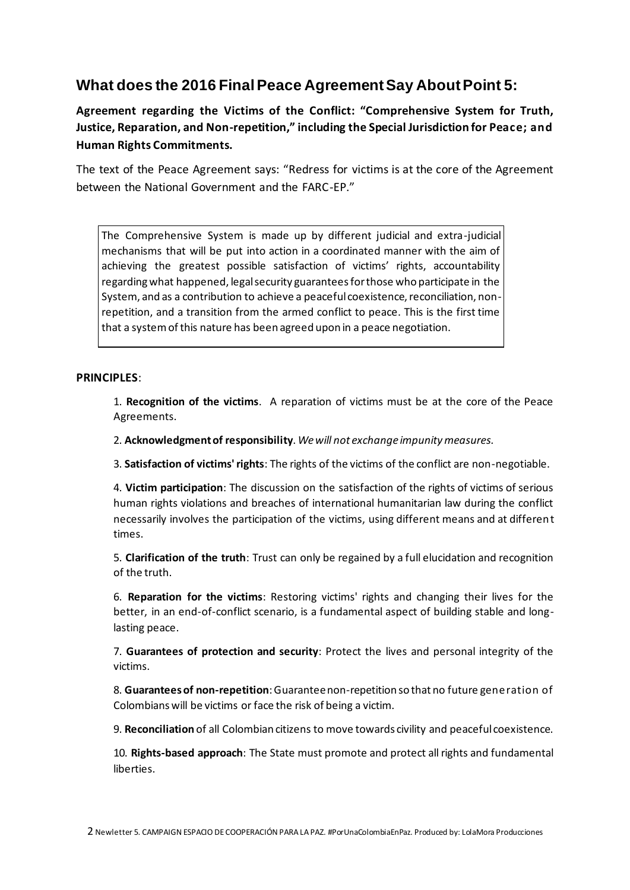## **What does the 2016 Final Peace Agreement Say About Point 5:**

**Agreement regarding the Victims of the Conflict: "Comprehensive System for Truth, Justice, Reparation, and Non-repetition," including the Special Jurisdiction for Peace; and Human Rights Commitments.**

The text of the Peace Agreement says: "Redress for victims is at the core of the Agreement between the National Government and the FARC-EP."

The Comprehensive System is made up by different judicial and extra-judicial mechanisms that will be put into action in a coordinated manner with the aim of achieving the greatest possible satisfaction of victims' rights, accountability regarding what happened, legal security guarantees for those who participate in the System, and as a contribution to achieve a peaceful coexistence, reconciliation, nonrepetition, and a transition from the armed conflict to peace. This is the first time that a system of this nature has been agreed upon in a peace negotiation.

### **PRINCIPLES**:

1. **Recognition of the victims**. A reparation of victims must be at the core of the Peace Agreements.

2. **Acknowledgment of responsibility**. *We will not exchange impunity measures.*

3. **Satisfaction of victims' rights**: The rights of the victims of the conflict are non-negotiable.

4. **Victim participation**: The discussion on the satisfaction of the rights of victims of serious human rights violations and breaches of international humanitarian law during the conflict necessarily involves the participation of the victims, using different means and at different times.

5. **Clarification of the truth**: Trust can only be regained by a full elucidation and recognition of the truth.

6. **Reparation for the victims**: Restoring victims' rights and changing their lives for the better, in an end-of-conflict scenario, is a fundamental aspect of building stable and longlasting peace.

7. **Guarantees of protection and security**: Protect the lives and personal integrity of the victims.

8. **Guarantees of non-repetition**: Guarantee non-repetition so that no future generation of Colombians will be victims or face the risk of being a victim.

9. **Reconciliation** of all Colombian citizens to move towards civility and peaceful coexistence.

10. **Rights-based approach**: The State must promote and protect all rights and fundamental liberties.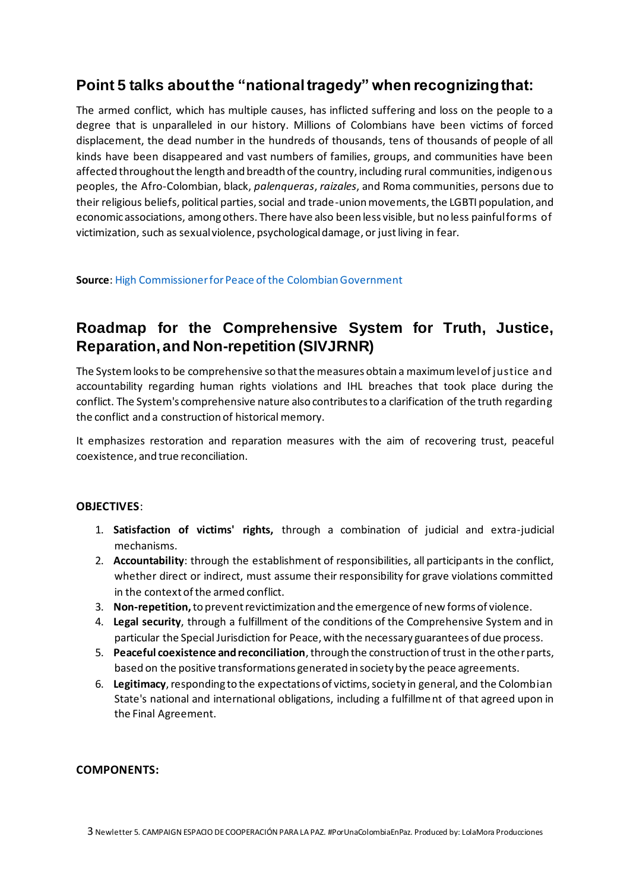## **Point 5 talks about the "national tragedy" when recognizing that:**

The armed conflict, which has multiple causes, has inflicted suffering and loss on the people to a degree that is unparalleled in our history. Millions of Colombians have been victims of forced displacement, the dead number in the hundreds of thousands, tens of thousands of people of all kinds have been disappeared and vast numbers of families, groups, and communities have been affected throughout the length and breadth of the country, including rural communities, indigenous peoples, the Afro-Colombian, black, *palenqueras*, *raizales*, and Roma communities, persons due to their religious beliefs, political parties, social and trade-union movements, the LGBTI population, and economic associations, among others. There have also been less visible, but no less painful forms of victimization, such as sexual violence, psychological damage, or just living in fear.

**Source**[: High Commissioner for Peace of the Colombian Government](http://www.altocomisionadoparalapaz.gov.co/herramientas/Documents/Nuevo_enterese_version_6_Sep_final_web.pdf)

## **Roadmap for the Comprehensive System for Truth, Justice, Reparation, and Non-repetition (SIVJRNR)**

The System looks to be comprehensive so that the measures obtain a maximum level of justice and accountability regarding human rights violations and IHL breaches that took place during the conflict. The System's comprehensive nature also contributes to a clarification of the truth regarding the conflict and a construction of historical memory.

It emphasizes restoration and reparation measures with the aim of recovering trust, peaceful coexistence, and true reconciliation.

### **OBJECTIVES**:

- 1. **Satisfaction of victims' rights,** through a combination of judicial and extra-judicial mechanisms.
- 2. **Accountability**: through the establishment of responsibilities, all participants in the conflict, whether direct or indirect, must assume their responsibility for grave violations committed in the context of the armed conflict.
- 3. **Non-repetition,**to prevent revictimization and the emergence of new forms of violence.
- 4. **Legal security**, through a fulfillment of the conditions of the Comprehensive System and in particular the Special Jurisdiction for Peace, with the necessary guarantees of due process.
- 5. **Peaceful coexistence and reconciliation**, through the construction of trust in the other parts, based on the positive transformations generated in society by the peace agreements.
- 6. **Legitimacy**, responding to the expectations of victims, society in general, and the Colombian State's national and international obligations, including a fulfillment of that agreed upon in the Final Agreement.

#### **COMPONENTS:**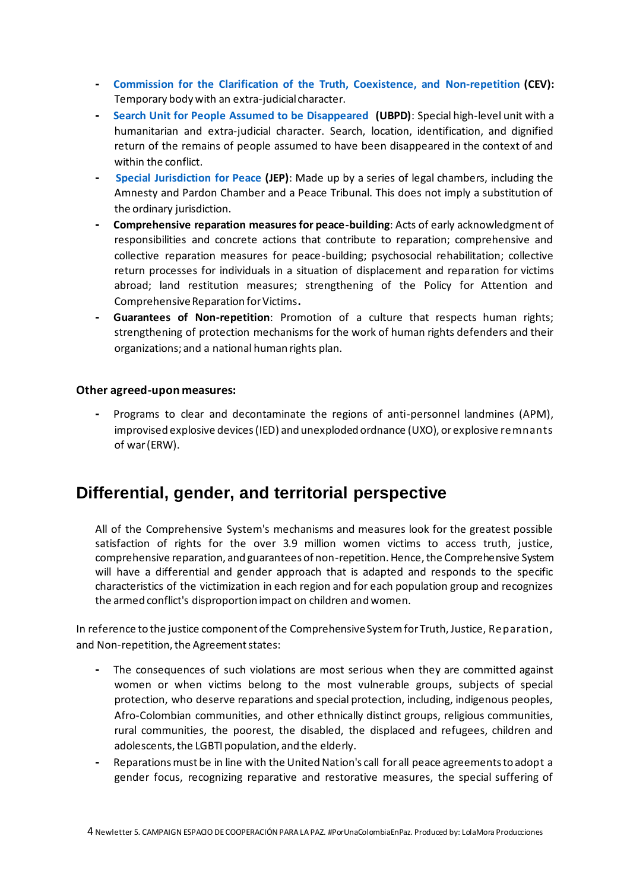- **- [Commission for the Clarification of the Truth, Coexistence, and Non-repetition](comisiondelaverdad.co) (CEV):** Temporary body with an extra-judicial character.
- **- [Search Unit for People Assumed to be Disappeared](https://www.ubpdbusquedadesaparecidos.co/) (UBPD)**: Special high-level unit with a humanitarian and extra-judicial character. Search, location, identification, and dignified return of the remains of people assumed to have been disappeared in the context of and within the conflict.
- **- [Special Jurisdiction for Peace](https://www.jep.gov.co/) (JEP)**: Made up by a series of legal chambers, including the Amnesty and Pardon Chamber and a Peace Tribunal. This does not imply a substitution of the ordinary jurisdiction.
- **- Comprehensive reparation measures for peace-building**: Acts of early acknowledgment of responsibilities and concrete actions that contribute to reparation; comprehensive and collective reparation measures for peace-building; psychosocial rehabilitation; collective return processes for individuals in a situation of displacement and reparation for victims abroad; land restitution measures; strengthening of the Policy for Attention and Comprehensive Reparation for Victims**.**
- **- Guarantees of Non-repetition**: Promotion of a culture that respects human rights; strengthening of protection mechanisms for the work of human rights defenders and their organizations; and a national human rights plan.

#### **Other agreed-upon measures:**

**-** Programs to clear and decontaminate the regions of anti-personnel landmines (APM), improvised explosive devices (IED) and unexploded ordnance (UXO), or explosive remnants of war (ERW).

## **Differential, gender, and territorial perspective**

All of the Comprehensive System's mechanisms and measures look for the greatest possible satisfaction of rights for the over 3.9 million women victims to access truth, justice, comprehensive reparation, and guarantees of non-repetition. Hence, the Comprehensive System will have a differential and gender approach that is adapted and responds to the specific characteristics of the victimization in each region and for each population group and recognizes the armed conflict's disproportion impact on children and women.

In reference to the justice component of the Comprehensive System for Truth, Justice, Reparation, and Non-repetition, the Agreement states:

- **-** The consequences of such violations are most serious when they are committed against women or when victims belong to the most vulnerable groups, subjects of special protection, who deserve reparations and special protection, including, indigenous peoples, Afro-Colombian communities, and other ethnically distinct groups, religious communities, rural communities, the poorest, the disabled, the displaced and refugees, children and adolescents, the LGBTI population, and the elderly.
- **-** Reparations must be in line with the United Nation's call for all peace agreements to adopt a gender focus, recognizing reparative and restorative measures, the special suffering of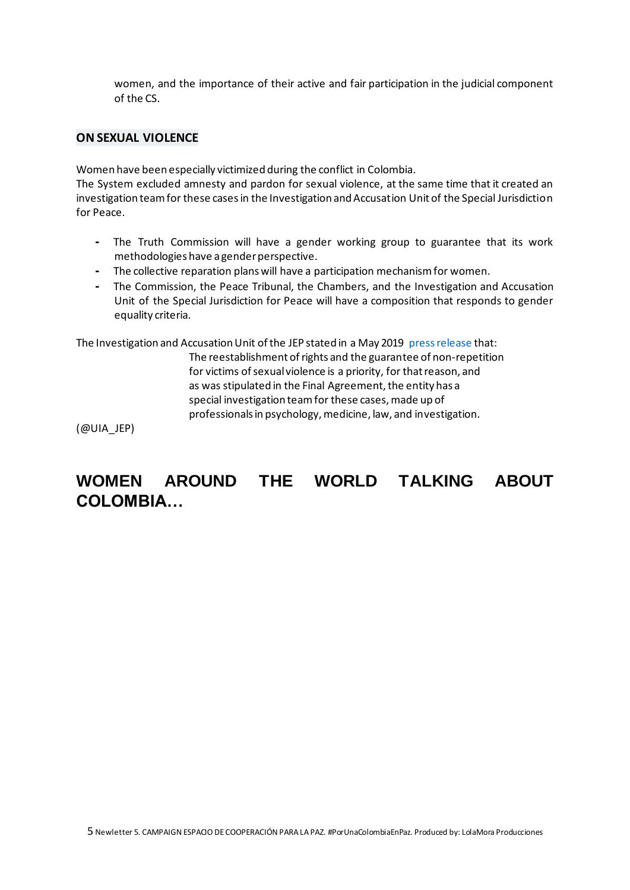women, and the importance of their active and fair participation in the judicial component of the CS.

#### **ON SEXUAL VIOLENCE**

Women have been especially victimized during the conflict in Colombia.

The System excluded amnesty and pardon for sexual violence, at the same time that it created an investigation team for these cases in the Investigation and Accusation Unit of the Special Jurisdiction for Peace.

- **-** The Truth Commission will have a gender working group to guarantee that its work methodologies have a gender perspective.
- **-** The collective reparation plans will have a participation mechanism for women.
- **-** The Commission, the Peace Tribunal, the Chambers, and the Investigation and Accusation Unit of the Special Jurisdiction for Peace will have a composition that responds to gender equality criteria.

The Investigation and Accusation Unit of the JEP stated in a May 2019 [press release](https://www.jep.gov.co/SiteAssets/Paginas/UIA/sala-de-prensa/Comunicado%20UIA%20-%20007.pdf) that:

The reestablishment of rights and the guarantee of non-repetition for victims of sexual violence is a priority, for that reason, and as was stipulated in the Final Agreement, the entity has a special investigation team for these cases, made up of professionals in psychology, medicine, law, and investigation.

(@UIA\_JEP)

# **WOMEN AROUND THE WORLD TALKING ABOUT COLOMBIA…**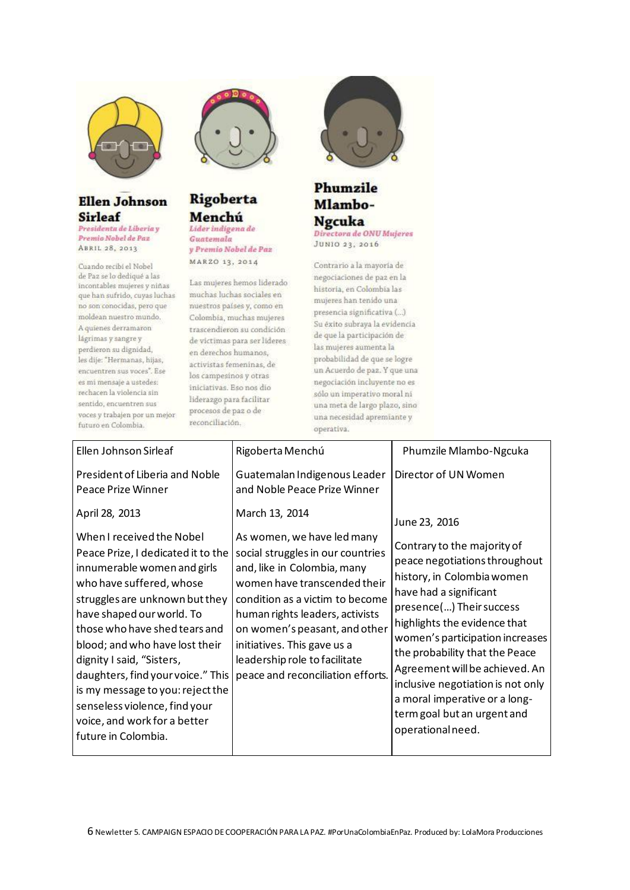

## **Ellen Johnson Sirleaf**

Presidenta de Liberia y Premio Nobel de Paz ABRIL 28, 2013

Cuando recibi el Nobel de Paz se lo dediqué a las incontables mujeres y niñas que han sufrido, cuyas luchas no son conocidas, pero que moldean nuestro mundo. A quienes derramaron lágrimas y sangre y perdieron su dignidad, les dije: "Hermanas, hijas, encuentren sus voces". Ese es mi mensaje a ustedes: rechacen la violencia sin sentido, encuentren sus voces y trabajen por un mejor futuro en Colombia.



### **Rigoberta** Menchú Lider indigena de

Guatemala y Premio Nobel de Paz MAR20 13, 2014

Las mujeres hemos liderado muchas luchas sociales en nuestros países y, como en Colombia, muchas mujeres trascendieron su condición de victimas para ser lideres en derechos humanos, activistas femeninas, de los campesinos y otras iniciativas. Eso nos dio liderazgo para facilitar procesos de paz o de reconciliación.



#### Phumzile Mlambo-**Ngcuka** Directora de ONU Mujeres JUNIO 23, 2016

Contrario a la mayoría de negociaciones de paz en la historia, en Colombia las mujeres han tenido una presencia significativa (...) Su éxito subraya la evidencia de que la participación de las mujeres aumenta la probabilidad de que se logre un Acuerdo de paz. Y que una negociación incluyente no es sólo un imperativo moral ni una meta de largo plazo, sino una necesidad apremiante y operativa.

| Ellen Johnson Sirleaf                                                                                                                                                                                                                                                                                                                                                                                                                                                                | Rigoberta Menchú                                                                                                                                                                                                                                                                                                                                                                                                             | Phumzile Mlambo-Ngcuka                                                                                                                                                                                                                                                                                                                                                                                 |
|--------------------------------------------------------------------------------------------------------------------------------------------------------------------------------------------------------------------------------------------------------------------------------------------------------------------------------------------------------------------------------------------------------------------------------------------------------------------------------------|------------------------------------------------------------------------------------------------------------------------------------------------------------------------------------------------------------------------------------------------------------------------------------------------------------------------------------------------------------------------------------------------------------------------------|--------------------------------------------------------------------------------------------------------------------------------------------------------------------------------------------------------------------------------------------------------------------------------------------------------------------------------------------------------------------------------------------------------|
| President of Liberia and Noble<br><b>Peace Prize Winner</b><br>April 28, 2013<br>When I received the Nobel<br>Peace Prize, I dedicated it to the<br>innumerable women and girls<br>who have suffered, whose<br>struggles are unknown but they<br>have shaped our world. To<br>those who have shed tears and<br>blood; and who have lost their<br>dignity I said, "Sisters,<br>daughters, find your voice." This<br>is my message to you: reject the<br>senseless violence, find your | Guatemalan Indigenous Leader<br>and Noble Peace Prize Winner<br>March 13, 2014<br>As women, we have led many<br>social struggles in our countries<br>and, like in Colombia, many<br>women have transcended their<br>condition as a victim to become<br>human rights leaders, activists<br>on women's peasant, and other<br>initiatives. This gave us a<br>leadership role to facilitate<br>peace and reconciliation efforts. | Director of UN Women<br>June 23, 2016<br>Contrary to the majority of<br>peace negotiations throughout<br>history, in Colombia women<br>have had a significant<br>presence() Their success<br>highlights the evidence that<br>women's participation increases<br>the probability that the Peace<br>Agreement will be achieved. An<br>inclusive negotiation is not only<br>a moral imperative or a long- |
| voice, and work for a better<br>future in Colombia.                                                                                                                                                                                                                                                                                                                                                                                                                                  |                                                                                                                                                                                                                                                                                                                                                                                                                              | term goal but an urgent and<br>operational need.                                                                                                                                                                                                                                                                                                                                                       |
|                                                                                                                                                                                                                                                                                                                                                                                                                                                                                      |                                                                                                                                                                                                                                                                                                                                                                                                                              |                                                                                                                                                                                                                                                                                                                                                                                                        |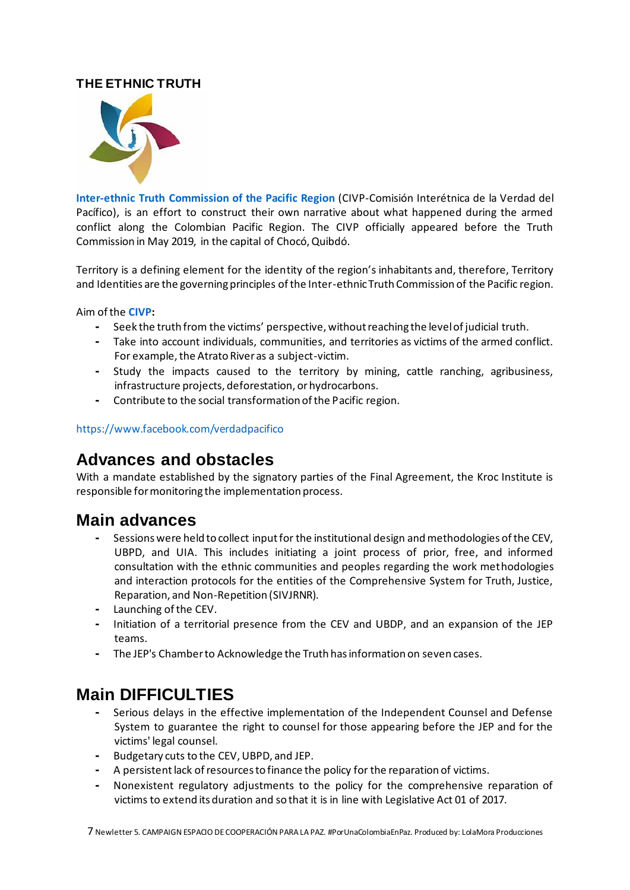## **THE ETHNIC TRUTH**



**[Inter-ethnic Truth Commission of the Pacific](https://verdadpacifico.org/) Region** (CIVP-Comisión Interétnica de la Verdad del Pacífico), is an effort to construct their own narrative about what happened during the armed conflict along the Colombian Pacific Region. The CIVP officially appeared before the Truth Commission in May 2019, in the capital of Chocó, Quibdó.

Territory is a defining element for the identity of the region's inhabitants and, therefore, Territory and Identities are the governing principles of the Inter-ethnic Truth Commission of the Pacific region.

Aim of the **[CIVP:](https://pacificocolombia.org/comision-interetnica-de-la-verdad-de-la-region-del-pacifico/)**

- **-** Seek the truth from the victims' perspective, without reaching the level of judicial truth.
- **-** Take into account individuals, communities, and territories as victims of the armed conflict. For example, the Atrato River as a subject-victim.
- **-** Study the impacts caused to the territory by mining, cattle ranching, agribusiness, infrastructure projects, deforestation, or hydrocarbons.
- **-** Contribute to the social transformation of the Pacific region.

### <https://www.facebook.com/verdadpacifico>

## **Advances and obstacles**

With a mandate established by the signatory parties of the Final Agreement, the Kroc Institute is responsible for monitoring the implementation process.

## **Main advances**

- **-** Sessions were held to collect input for the institutional design and methodologies of the CEV, UBPD, and UIA. This includes initiating a joint process of prior, free, and informed consultation with the ethnic communities and peoples regarding the work methodologies and interaction protocols for the entities of the Comprehensive System for Truth, Justice, Reparation, and Non-Repetition (SIVJRNR).
- **-** Launching of the CEV.
- **-** Initiation of a territorial presence from the CEV and UBDP, and an expansion of the JEP teams.
- **-** The JEP's Chamber to Acknowledge the Truth has information on seven cases.

# **Main DIFFICULTIES**

- **-** Serious delays in the effective implementation of the Independent Counsel and Defense System to guarantee the right to counsel for those appearing before the JEP and for the victims' legal counsel.
- **-** Budgetary cuts to the CEV, UBPD, and JEP.
- **-** A persistentlack of resources to finance the policy for the reparation of victims.
- **-** Nonexistent regulatory adjustments to the policy for the comprehensive reparation of victims to extend its duration and so that it is in line with Legislative Act 01 of 2017.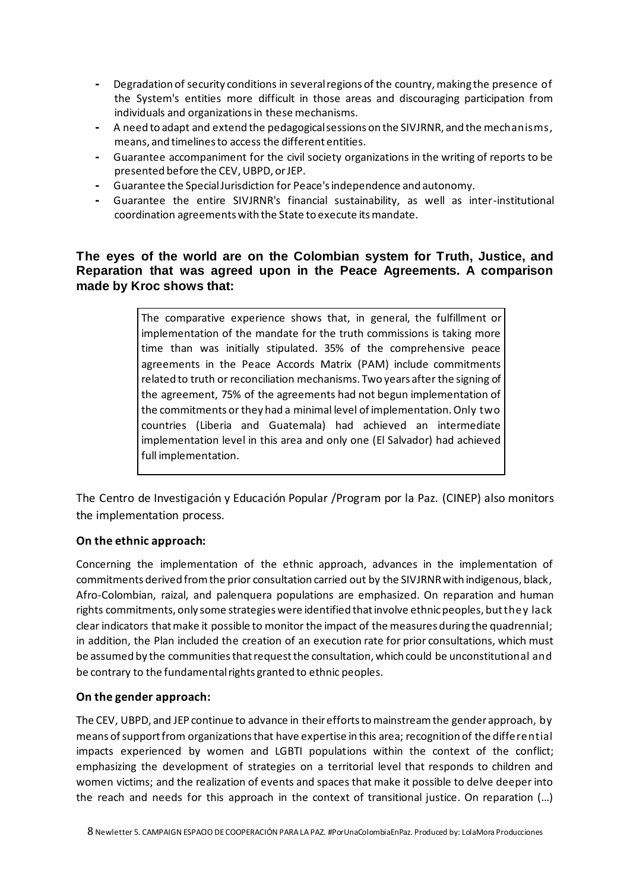- **-** Degradation of security conditions in several regions of the country, making the presence of the System's entities more difficult in those areas and discouraging participation from individuals and organizations in these mechanisms.
- **-** A need to adapt and extend the pedagogical sessions on the SIVJRNR, and the mechanisms, means, and timelines to access the different entities.
- **-** Guarantee accompaniment for the civil society organizations in the writing of reports to be presented before the CEV, UBPD, or JEP.
- **-** Guarantee the Special Jurisdiction for Peace's independence and autonomy.
- **-** Guarantee the entire SIVJRNR's financial sustainability, as well as inter-institutional coordination agreements with the State to execute its mandate.

### **The eyes of the world are on the Colombian system for Truth, Justice, and Reparation that was agreed upon in the Peace Agreements. A comparison made by Kroc shows that:**

The comparative experience shows that, in general, the fulfillment or implementation of the mandate for the truth commissions is taking more time than was initially stipulated. 35% of the comprehensive peace agreements in the Peace Accords Matrix (PAM) include commitments related to truth or reconciliation mechanisms. Two years after the signing of the agreement, 75% of the agreements had not begun implementation of the commitments or they had a minimal level of implementation. Only two countries (Liberia and Guatemala) had achieved an intermediate implementation level in this area and only one (El Salvador) had achieved full implementation.

The Centro de Investigación y Educación Popular /Program por la Paz. (CINEP) also monitors the implementation process.

### **On the ethnic approach:**

Concerning the implementation of the ethnic approach, advances in the implementation of commitments derived from the prior consultation carried out by the SIVJRNR with indigenous, black, Afro-Colombian, raizal, and palenquera populations are emphasized. On reparation and human rights commitments, only some strategies were identified that involve ethnic peoples, but they lack clear indicators that make it possible to monitor the impact of the measures during the quadrennial; in addition, the Plan included the creation of an execution rate for prior consultations, which must be assumed by the communities that request the consultation, which could be unconstitutional and be contrary to the fundamental rights granted to ethnic peoples.

### **On the gender approach:**

The CEV, UBPD, and JEP continue to advance in their efforts to mainstream the gender approach, by means of support from organizations that have expertise in this area; recognition of the differential impacts experienced by women and LGBTI populations within the context of the conflict; emphasizing the development of strategies on a territorial level that responds to children and women victims; and the realization of events and spaces that make it possible to delve deeper into the reach and needs for this approach in the context of transitional justice. On reparation (…)